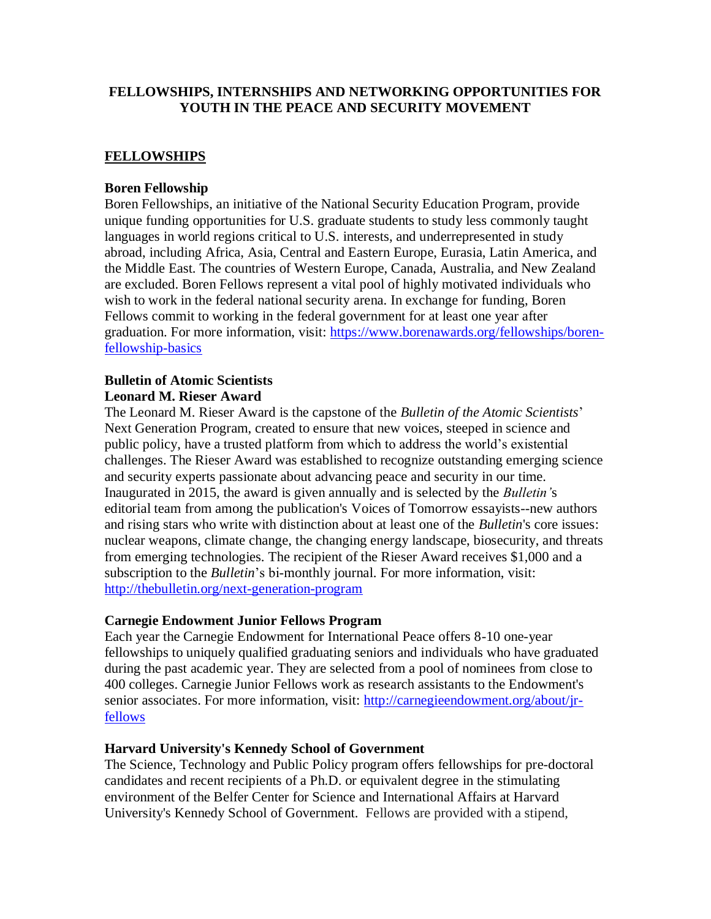# **FELLOWSHIPS, INTERNSHIPS AND NETWORKING OPPORTUNITIES FOR YOUTH IN THE PEACE AND SECURITY MOVEMENT**

# **FELLOWSHIPS**

## **Boren Fellowship**

Boren Fellowships, an initiative of the National Security Education Program, provide unique funding opportunities for U.S. graduate students to study less commonly taught languages in world regions critical to U.S. interests, and underrepresented in study abroad, including Africa, Asia, Central and Eastern Europe, Eurasia, Latin America, and the Middle East. The countries of Western Europe, Canada, Australia, and New Zealand are excluded. Boren Fellows represent a vital pool of highly motivated individuals who wish to work in the federal national security arena. In exchange for funding, Boren Fellows commit to working in the federal government for at least one year after graduation. For more information, visit: [https://www.borenawards.org/fellowships/boren](https://www.borenawards.org/fellowships/boren-fellowship-basics)[fellowship-basics](https://www.borenawards.org/fellowships/boren-fellowship-basics)

# **Bulletin of Atomic Scientists**

# **Leonard M. Rieser Award**

The Leonard M. Rieser Award is the capstone of the *Bulletin of the Atomic Scientists*' Next Generation Program, created to ensure that new voices, steeped in science and public policy, have a trusted platform from which to address the world's existential challenges. The Rieser Award was established to recognize outstanding emerging science and security experts passionate about advancing peace and security in our time. Inaugurated in 2015, the award is given annually and is selected by the *Bulletin'*s editorial team from among the publication's Voices of Tomorrow essayists--new authors and rising stars who write with distinction about at least one of the *Bulletin*'s core issues: nuclear weapons, climate change, the changing energy landscape, biosecurity, and threats from emerging technologies. The recipient of the Rieser Award receives \$1,000 and a subscription to the *Bulletin*'s bi-monthly journal. For more information, visit: <http://thebulletin.org/next-generation-program>

#### **Carnegie Endowment Junior Fellows Program**

Each year the Carnegie Endowment for International Peace offers 8-10 one-year fellowships to uniquely qualified graduating seniors and individuals who have graduated during the past academic year. They are selected from a pool of nominees from close to 400 colleges. Carnegie Junior Fellows work as research assistants to the Endowment's senior associates. For more information, visit: [http://carnegieendowment.org/about/jr](http://carnegieendowment.org/about/jr-fellows)[fellows](http://carnegieendowment.org/about/jr-fellows)

#### **Harvard University's Kennedy School of Government**

The Science, Technology and Public Policy program offers fellowships for pre-doctoral candidates and recent recipients of a Ph.D. or equivalent degree in the stimulating environment of the Belfer Center for Science and International Affairs at Harvard University's Kennedy School of Government. Fellows are provided with a stipend,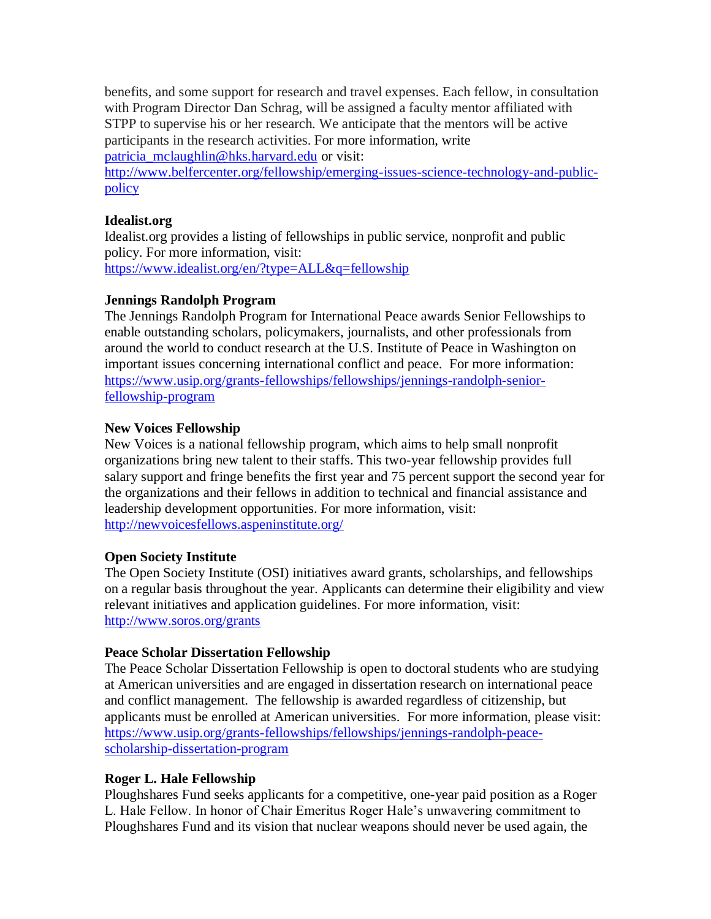benefits, and some support for research and travel expenses. Each fellow, in consultation with Program Director Dan Schrag, will be assigned a faculty mentor affiliated with STPP to supervise his or her research. We anticipate that the mentors will be active participants in the research activities. For more information, write [patricia\\_mclaughlin@hks.harvard.edu](mailto:patricia_mclaughlin@hks.harvard.edu) or visit:

[http://www.belfercenter.org/fellowship/emerging-issues-science-technology-and-public](http://www.belfercenter.org/fellowship/emerging-issues-science-technology-and-public-policy)[policy](http://www.belfercenter.org/fellowship/emerging-issues-science-technology-and-public-policy)

#### **Idealist.org**

Idealist.org provides a listing of fellowships in public service, nonprofit and public policy. For more information, visit: <https://www.idealist.org/en/?type=ALL&q=fellowship>

# **Jennings Randolph Program**

The Jennings Randolph Program for International Peace awards Senior Fellowships to enable outstanding scholars, policymakers, journalists, and other professionals from around the world to conduct research at the U.S. Institute of Peace in Washington on important issues concerning international conflict and peace. For more information: [https://www.usip.org/grants-fellowships/fellowships/jennings-randolph-senior](https://www.usip.org/grants-fellowships/fellowships/jennings-randolph-senior-fellowship-program)[fellowship-program](https://www.usip.org/grants-fellowships/fellowships/jennings-randolph-senior-fellowship-program)

# **New Voices Fellowship**

New Voices is a national fellowship program, which aims to help small nonprofit organizations bring new talent to their staffs. This two-year fellowship provides full salary support and fringe benefits the first year and 75 percent support the second year for the organizations and their fellows in addition to technical and financial assistance and leadership development opportunities. For more information, visit: <http://newvoicesfellows.aspeninstitute.org/>

#### **Open Society Institute**

The Open Society Institute (OSI) initiatives award grants, scholarships, and fellowships on a regular basis throughout the year. Applicants can determine their eligibility and view relevant initiatives and application guidelines. For more information, visit: <http://www.soros.org/grants>

#### **Peace Scholar Dissertation Fellowship**

The Peace Scholar Dissertation Fellowship is open to doctoral students who are studying at American universities and are engaged in dissertation research on international peace and conflict management. The fellowship is awarded regardless of citizenship, but applicants must be enrolled at American universities. For more information, please visit: [https://www.usip.org/grants-fellowships/fellowships/jennings-randolph-peace](https://www.usip.org/grants-fellowships/fellowships/jennings-randolph-peace-scholarship-dissertation-program)[scholarship-dissertation-program](https://www.usip.org/grants-fellowships/fellowships/jennings-randolph-peace-scholarship-dissertation-program)

#### **Roger L. Hale Fellowship**

Ploughshares Fund seeks applicants for a competitive, one-year paid position as a Roger L. Hale Fellow. In honor of Chair Emeritus Roger Hale's unwavering commitment to Ploughshares Fund and its vision that nuclear weapons should never be used again, the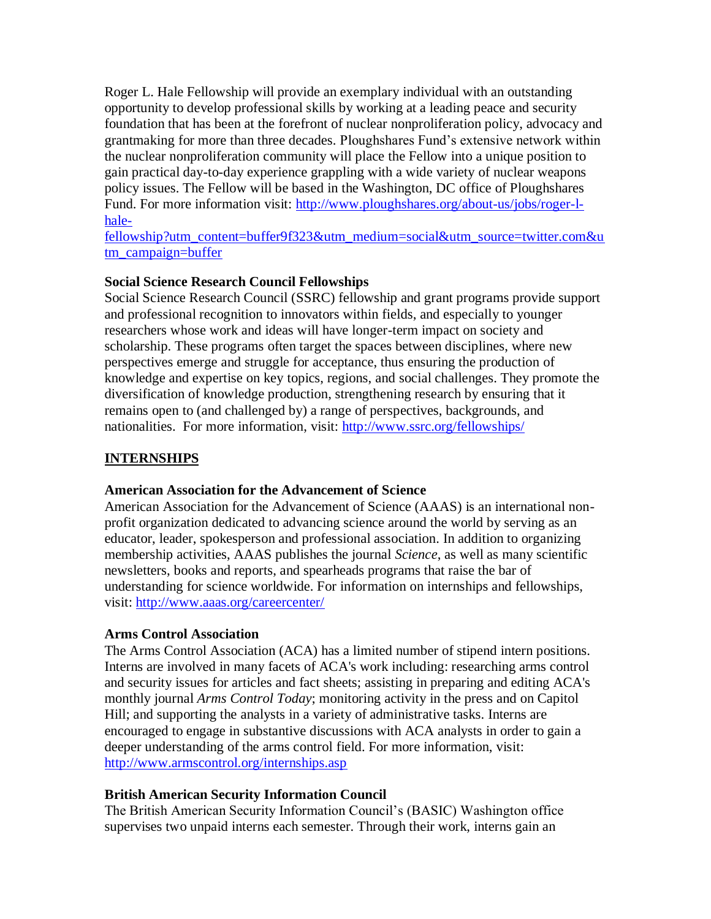Roger L. Hale Fellowship will provide an exemplary individual with an outstanding opportunity to develop professional skills by working at a leading peace and security foundation that has been at the forefront of nuclear nonproliferation policy, advocacy and grantmaking for more than three decades. Ploughshares Fund's extensive network within the nuclear nonproliferation community will place the Fellow into a unique position to gain practical day-to-day experience grappling with a wide variety of nuclear weapons policy issues. The Fellow will be based in the Washington, DC office of Ploughshares Fund. For more information visit: [http://www.ploughshares.org/about-us/jobs/roger-l](http://www.ploughshares.org/about-us/jobs/roger-l-hale-fellowship?utm_content=buffer9f323&utm_medium=social&utm_source=twitter.com&utm_campaign=buffer)[hale-](http://www.ploughshares.org/about-us/jobs/roger-l-hale-fellowship?utm_content=buffer9f323&utm_medium=social&utm_source=twitter.com&utm_campaign=buffer)

[fellowship?utm\\_content=buffer9f323&utm\\_medium=social&utm\\_source=twitter.com&u](http://www.ploughshares.org/about-us/jobs/roger-l-hale-fellowship?utm_content=buffer9f323&utm_medium=social&utm_source=twitter.com&utm_campaign=buffer) [tm\\_campaign=buffer](http://www.ploughshares.org/about-us/jobs/roger-l-hale-fellowship?utm_content=buffer9f323&utm_medium=social&utm_source=twitter.com&utm_campaign=buffer)

# **Social Science Research Council Fellowships**

Social Science Research Council (SSRC) fellowship and grant programs provide support and professional recognition to innovators within fields, and especially to younger researchers whose work and ideas will have longer-term impact on society and scholarship. These programs often target the spaces between disciplines, where new perspectives emerge and struggle for acceptance, thus ensuring the production of knowledge and expertise on key topics, regions, and social challenges. They promote the diversification of knowledge production, strengthening research by ensuring that it remains open to (and challenged by) a range of perspectives, backgrounds, and nationalities. For more information, visit:<http://www.ssrc.org/fellowships/>

# **INTERNSHIPS**

#### **American Association for the Advancement of Science**

American Association for the Advancement of Science (AAAS) is an international nonprofit organization dedicated to advancing science around the world by serving as an educator, leader, spokesperson and professional association. In addition to organizing membership activities, AAAS publishes the journal *Science*, as well as many scientific newsletters, books and reports, and spearheads programs that raise the bar of understanding for science worldwide. For information on internships and fellowships, visit:<http://www.aaas.org/careercenter/>

#### **Arms Control Association**

The Arms Control Association (ACA) has a limited number of stipend intern positions. Interns are involved in many facets of ACA's work including: researching arms control and security issues for articles and fact sheets; assisting in preparing and editing ACA's monthly journal *Arms Control Today*; monitoring activity in the press and on Capitol Hill; and supporting the analysts in a variety of administrative tasks. Interns are encouraged to engage in substantive discussions with ACA analysts in order to gain a deeper understanding of the arms control field. For more information, visit: <http://www.armscontrol.org/internships.asp>

# **British American Security Information Council**

The British American Security Information Council's (BASIC) Washington office supervises two unpaid interns each semester. Through their work, interns gain an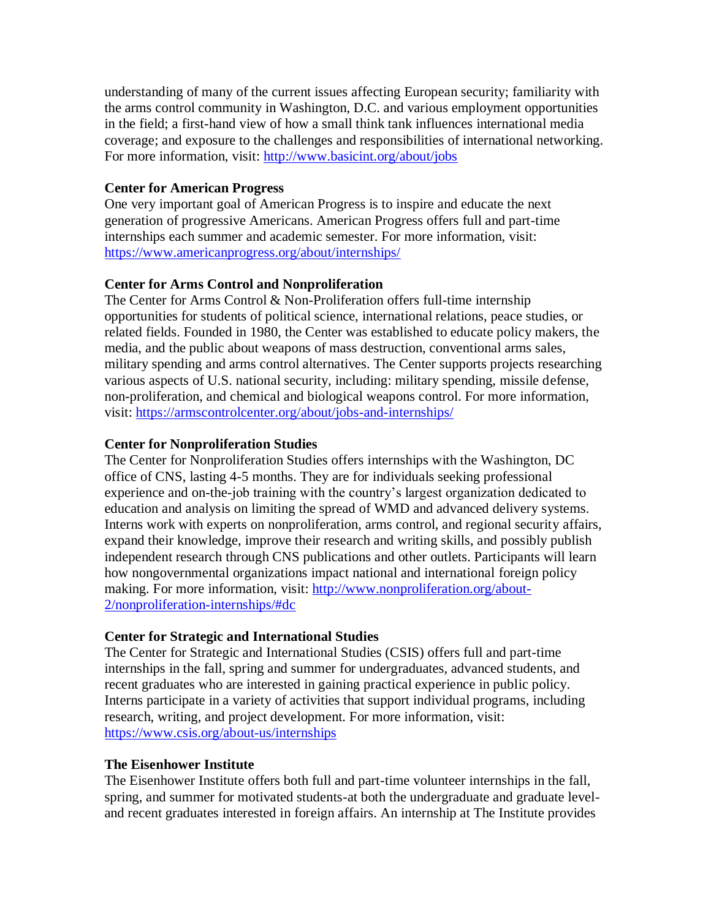understanding of many of the current issues affecting European security; familiarity with the arms control community in Washington, D.C. and various employment opportunities in the field; a first-hand view of how a small think tank influences international media coverage; and exposure to the challenges and responsibilities of international networking. For more information, visit:<http://www.basicint.org/about/jobs>

#### **Center for American Progress**

One very important goal of American Progress is to inspire and educate the next generation of progressive Americans. American Progress offers full and part-time internships each summer and academic semester. For more information, visit: <https://www.americanprogress.org/about/internships/>

#### **Center for Arms Control and Nonproliferation**

The Center for Arms Control & Non-Proliferation offers full-time internship opportunities for students of political science, international relations, peace studies, or related fields. Founded in 1980, the Center was established to educate policy makers, the media, and the public about weapons of mass destruction, conventional arms sales, military spending and arms control alternatives. The Center supports projects researching various aspects of U.S. national security, including: military spending, missile defense, non-proliferation, and chemical and biological weapons control. For more information, visit:<https://armscontrolcenter.org/about/jobs-and-internships/>

#### **Center for Nonproliferation Studies**

The Center for Nonproliferation Studies offers internships with the Washington, DC office of CNS, lasting 4-5 months. They are for individuals seeking professional experience and on-the-job training with the country's largest organization dedicated to education and analysis on limiting the spread of WMD and advanced delivery systems. Interns work with experts on nonproliferation, arms control, and regional security affairs, expand their knowledge, improve their research and writing skills, and possibly publish independent research through CNS publications and other outlets. Participants will learn how nongovernmental organizations impact national and international foreign policy making. For more information, visit: [http://www.nonproliferation.org/about-](http://www.nonproliferation.org/about-2/nonproliferation-internships/#dc)[2/nonproliferation-internships/#dc](http://www.nonproliferation.org/about-2/nonproliferation-internships/#dc)

#### **Center for Strategic and International Studies**

The Center for Strategic and International Studies (CSIS) offers full and part-time internships in the fall, spring and summer for undergraduates, advanced students, and recent graduates who are interested in gaining practical experience in public policy. Interns participate in a variety of activities that support individual programs, including research, writing, and project development. For more information, visit: <https://www.csis.org/about-us/internships>

#### **The Eisenhower Institute**

The Eisenhower Institute offers both full and part-time volunteer internships in the fall, spring, and summer for motivated students-at both the undergraduate and graduate leveland recent graduates interested in foreign affairs. An internship at The Institute provides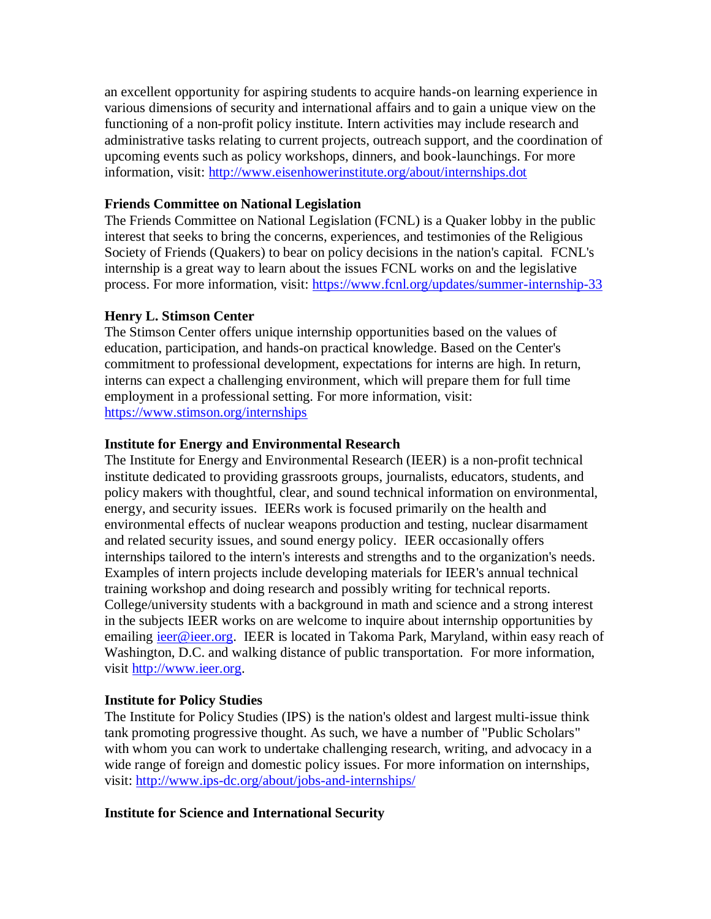an excellent opportunity for aspiring students to acquire hands-on learning experience in various dimensions of security and international affairs and to gain a unique view on the functioning of a non-profit policy institute. Intern activities may include research and administrative tasks relating to current projects, outreach support, and the coordination of upcoming events such as policy workshops, dinners, and book-launchings. For more information, visit:<http://www.eisenhowerinstitute.org/about/internships.dot>

#### **Friends Committee on National Legislation**

The Friends Committee on National Legislation (FCNL) is a Quaker lobby in the public interest that seeks to bring the concerns, experiences, and testimonies of the Religious Society of Friends (Quakers) to bear on policy decisions in the nation's capital. FCNL's internship is a great way to learn about the issues FCNL works on and the legislative process. For more information, visit:<https://www.fcnl.org/updates/summer-internship-33>

# **Henry L. Stimson Center**

The Stimson Center offers unique internship opportunities based on the values of education, participation, and hands-on practical knowledge. Based on the Center's commitment to professional development, expectations for interns are high. In return, interns can expect a challenging environment, which will prepare them for full time employment in a professional setting. For more information, visit: <https://www.stimson.org/internships>

# **Institute for Energy and Environmental Research**

The Institute for Energy and Environmental Research (IEER) is a non-profit technical institute dedicated to providing grassroots groups, journalists, educators, students, and policy makers with thoughtful, clear, and sound technical information on environmental, energy, and security issues. IEERs work is focused primarily on the health and environmental effects of nuclear weapons production and testing, nuclear disarmament and related security issues, and sound energy policy. IEER occasionally offers internships tailored to the intern's interests and strengths and to the organization's needs. Examples of intern projects include developing materials for IEER's annual technical training workshop and doing research and possibly writing for technical reports. College/university students with a background in math and science and a strong interest in the subjects IEER works on are welcome to inquire about internship opportunities by emailing [ieer@ieer.org.](mailto:ieer@ieer.org) IEER is located in Takoma Park, Maryland, within easy reach of Washington, D.C. and walking distance of public transportation. For more information, visit [http://www.ieer.org.](http://www.ieer.org/)

#### **Institute for Policy Studies**

The Institute for Policy Studies (IPS) is the nation's oldest and largest multi-issue think tank promoting progressive thought. As such, we have a number of "Public Scholars" with whom you can work to undertake challenging research, writing, and advocacy in a wide range of foreign and domestic policy issues. For more information on internships, visit:<http://www.ips-dc.org/about/jobs-and-internships/>

#### **Institute for Science and International Security**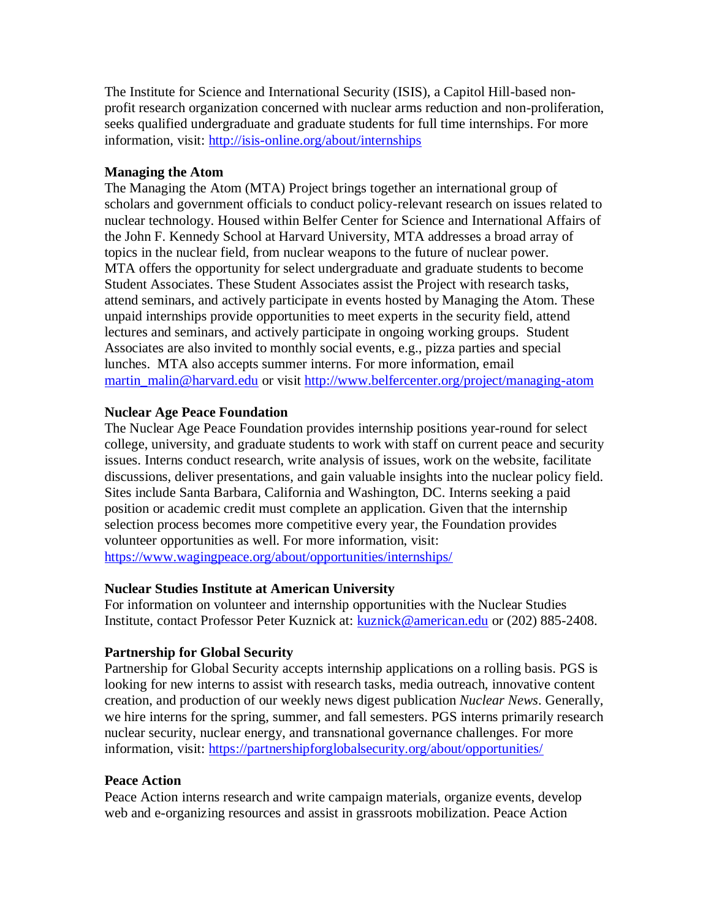The Institute for Science and International Security (ISIS), a Capitol Hill-based nonprofit research organization concerned with nuclear arms reduction and non-proliferation, seeks qualified undergraduate and graduate students for full time internships. For more information, visit:<http://isis-online.org/about/internships>

## **Managing the Atom**

The Managing the Atom (MTA) Project brings together an international group of scholars and government officials to conduct policy-relevant research on issues related to nuclear technology. Housed within Belfer Center for Science and International Affairs of the John F. Kennedy School at Harvard University, MTA addresses a broad array of topics in the nuclear field, from nuclear weapons to the future of nuclear power. MTA offers the opportunity for select undergraduate and graduate students to become Student Associates. These Student Associates assist the Project with research tasks, attend seminars, and actively participate in events hosted by Managing the Atom. These unpaid internships provide opportunities to meet experts in the security field, attend lectures and seminars, and actively participate in ongoing working groups. Student Associates are also invited to monthly social events, e.g., pizza parties and special lunches. MTA also accepts summer interns. For more information, email [martin\\_malin@harvard.edu](mailto:martin_malin@harvard.edu) or visit<http://www.belfercenter.org/project/managing-atom>

# **Nuclear Age Peace Foundation**

The Nuclear Age Peace Foundation provides internship positions year-round for select college, university, and graduate students to work with staff on current peace and security issues. Interns conduct research, write analysis of issues, work on the website, facilitate discussions, deliver presentations, and gain valuable insights into the nuclear policy field. Sites include Santa Barbara, California and Washington, DC. Interns seeking a paid position or academic credit must complete an application. Given that the internship selection process becomes more competitive every year, the Foundation provides volunteer opportunities as well. For more information, visit: <https://www.wagingpeace.org/about/opportunities/internships/>

#### **Nuclear Studies Institute at American University**

For information on volunteer and internship opportunities with the Nuclear Studies Institute, contact Professor Peter Kuznick at: [kuznick@american.edu](mailto:kuznick@american.edu) or (202) 885-2408.

# **Partnership for Global Security**

Partnership for Global Security accepts internship applications on a rolling basis. PGS is looking for new interns to assist with research tasks, media outreach, innovative content creation, and production of our weekly news digest publication *Nuclear News*. Generally, we hire interns for the spring, summer, and fall semesters. PGS interns primarily research nuclear security, nuclear energy, and transnational governance challenges. For more information, visit: <https://partnershipforglobalsecurity.org/about/opportunities/>

#### **Peace Action**

Peace Action interns research and write campaign materials, organize events, develop web and e-organizing resources and assist in grassroots mobilization. Peace Action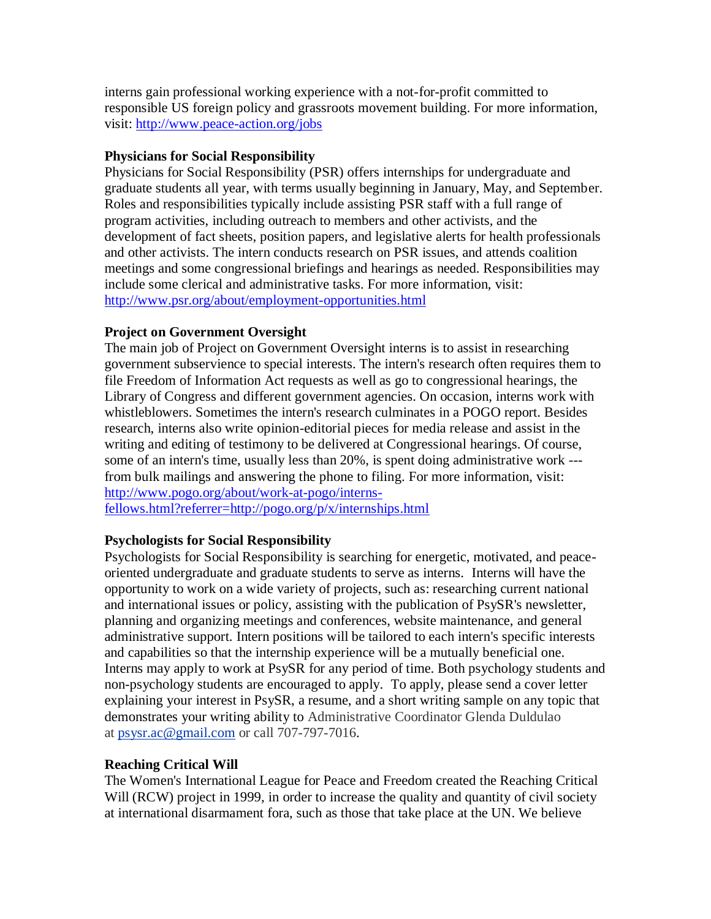interns gain professional working experience with a not-for-profit committed to responsible US foreign policy and grassroots movement building. For more information, visit:<http://www.peace-action.org/jobs>

## **Physicians for Social Responsibility**

Physicians for Social Responsibility (PSR) offers internships for undergraduate and graduate students all year, with terms usually beginning in January, May, and September. Roles and responsibilities typically include assisting PSR staff with a full range of program activities, including outreach to members and other activists, and the development of fact sheets, position papers, and legislative alerts for health professionals and other activists. The intern conducts research on PSR issues, and attends coalition meetings and some congressional briefings and hearings as needed. Responsibilities may include some clerical and administrative tasks. For more information, visit: <http://www.psr.org/about/employment-opportunities.html>

# **Project on Government Oversight**

The main job of Project on Government Oversight interns is to assist in researching government subservience to special interests. The intern's research often requires them to file Freedom of Information Act requests as well as go to congressional hearings, the Library of Congress and different government agencies. On occasion, interns work with whistleblowers. Sometimes the intern's research culminates in a POGO report. Besides research, interns also write opinion-editorial pieces for media release and assist in the writing and editing of testimony to be delivered at Congressional hearings. Of course, some of an intern's time, usually less than 20%, is spent doing administrative work -- from bulk mailings and answering the phone to filing. For more information, visit: [http://www.pogo.org/about/work-at-pogo/interns-](http://www.pogo.org/about/work-at-pogo/interns-fellows.html?referrer=http://pogo.org/p/x/internships.html)

[fellows.html?referrer=http://pogo.org/p/x/internships.html](http://www.pogo.org/about/work-at-pogo/interns-fellows.html?referrer=http://pogo.org/p/x/internships.html)

# **Psychologists for Social Responsibility**

Psychologists for Social Responsibility is searching for energetic, motivated, and peaceoriented undergraduate and graduate students to serve as interns. Interns will have the opportunity to work on a wide variety of projects, such as: researching current national and international issues or policy, assisting with the publication of PsySR's newsletter, planning and organizing meetings and conferences, website maintenance, and general administrative support. Intern positions will be tailored to each intern's specific interests and capabilities so that the internship experience will be a mutually beneficial one. Interns may apply to work at PsySR for any period of time. Both psychology students and non-psychology students are encouraged to apply. To apply, please send a cover letter explaining your interest in PsySR, a resume, and a short writing sample on any topic that demonstrates your writing ability to Administrative Coordinator Glenda Duldulao at [psysr.ac@gmail.com](mailto:psysr.ac@gmail.com) or call 707-797-7016.

# **Reaching Critical Will**

The Women's International League for Peace and Freedom created the Reaching Critical Will (RCW) project in 1999, in order to increase the quality and quantity of civil society at international disarmament fora, such as those that take place at the UN. We believe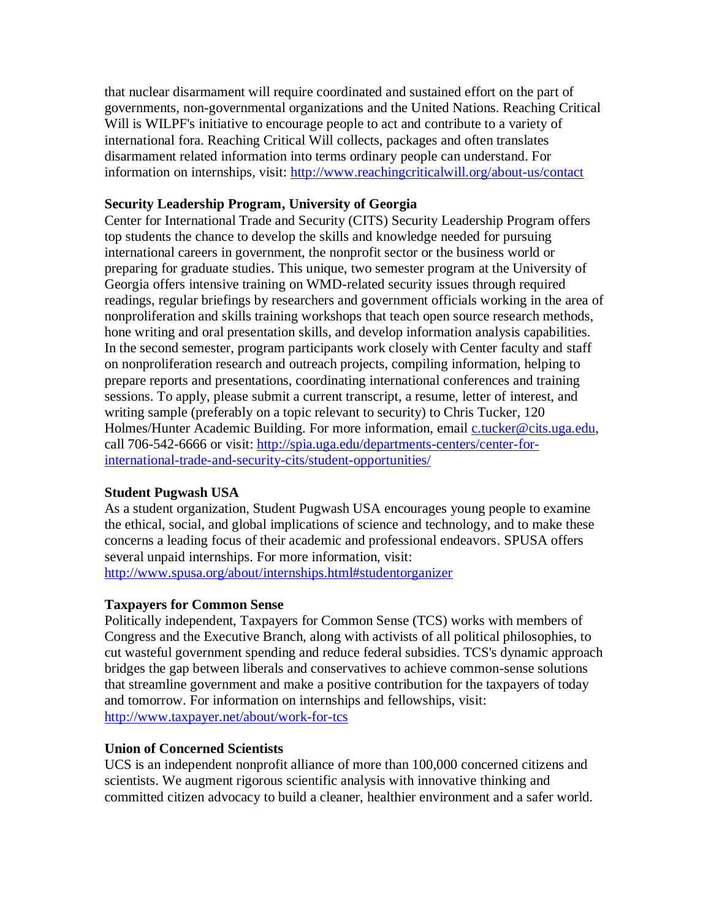that nuclear disarmament will require coordinated and sustained effort on the part of governments, non-governmental organizations and the United Nations. Reaching Critical Will is WILPF's initiative to encourage people to act and contribute to a variety of international fora. Reaching Critical Will collects, packages and often translates disarmament related information into terms ordinary people can understand. For information on internships, visit: <http://www.reachingcriticalwill.org/about-us/contact>

## **Security Leadership Program, University of Georgia**

Center for International Trade and Security (CITS) Security Leadership Program offers top students the chance to develop the skills and knowledge needed for pursuing international careers in government, the nonprofit sector or the business world or preparing for graduate studies. This unique, two semester program at the University of Georgia offers intensive training on WMD-related security issues through required readings, regular briefings by researchers and government officials working in the area of nonproliferation and skills training workshops that teach open source research methods, hone writing and oral presentation skills, and develop information analysis capabilities. In the second semester, program participants work closely with Center faculty and staff on nonproliferation research and outreach projects, compiling information, helping to prepare reports and presentations, coordinating international conferences and training sessions. To apply, please submit a current transcript, a resume, letter of interest, and writing sample (preferably on a topic relevant to security) to Chris Tucker, 120 Holmes/Hunter Academic Building. For more information, email *[c.tucker@cits.uga.edu,](mailto:c.tucker@cits.uga.edu)* call 706-542-6666 or visit: [http://spia.uga.edu/departments-centers/center-for](http://spia.uga.edu/departments-centers/center-for-international-trade-and-security-cits/student-opportunities/)[international-trade-and-security-cits/student-opportunities/](http://spia.uga.edu/departments-centers/center-for-international-trade-and-security-cits/student-opportunities/)

#### **Student Pugwash USA**

As a student organization, Student Pugwash USA encourages young people to examine the ethical, social, and global implications of science and technology, and to make these concerns a leading focus of their academic and professional endeavors. SPUSA offers several unpaid internships. For more information, visit: <http://www.spusa.org/about/internships.html#studentorganizer>

#### **Taxpayers for Common Sense**

Politically independent, Taxpayers for Common Sense (TCS) works with members of Congress and the Executive Branch, along with activists of all political philosophies, to cut wasteful government spending and reduce federal subsidies. TCS's dynamic approach bridges the gap between liberals and conservatives to achieve common-sense solutions that streamline government and make a positive contribution for the taxpayers of today and tomorrow. For information on internships and fellowships, visit: <http://www.taxpayer.net/about/work-for-tcs>

#### **Union of Concerned Scientists**

UCS is an independent nonprofit alliance of more than 100,000 concerned citizens and scientists. We augment rigorous scientific analysis with innovative thinking and committed citizen advocacy to build a cleaner, healthier environment and a safer world.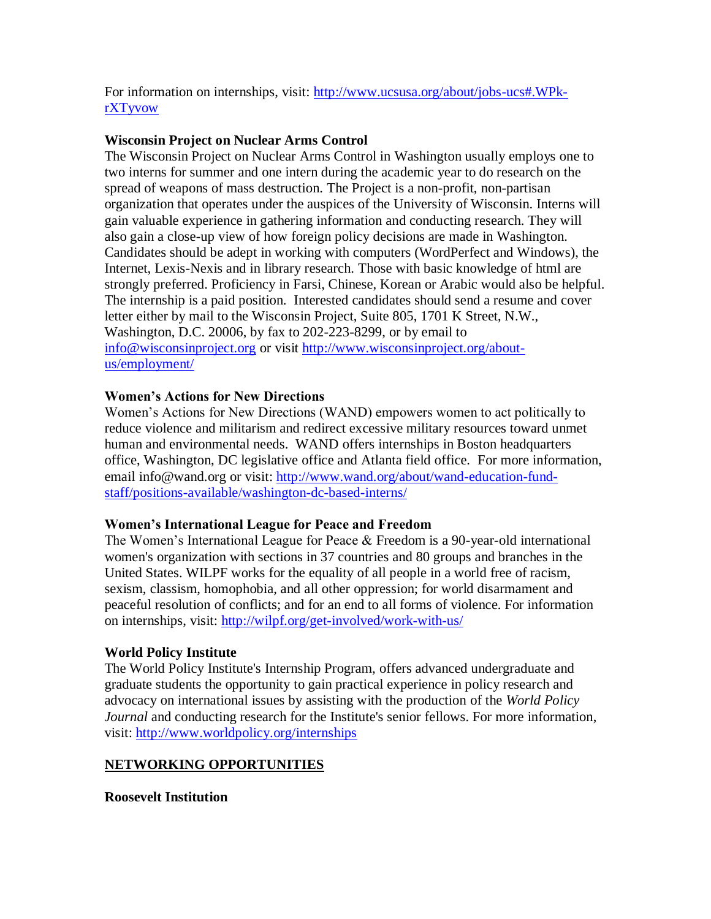For information on internships, visit: [http://www.ucsusa.org/about/jobs-ucs#.WPk](http://www.ucsusa.org/about/jobs-ucs#.WPk-rXTyvow)[rXTyvow](http://www.ucsusa.org/about/jobs-ucs#.WPk-rXTyvow)

## **Wisconsin Project on Nuclear Arms Control**

The Wisconsin Project on Nuclear Arms Control in Washington usually employs one to two interns for summer and one intern during the academic year to do research on the spread of weapons of mass destruction. The Project is a non-profit, non-partisan organization that operates under the auspices of the University of Wisconsin. Interns will gain valuable experience in gathering information and conducting research. They will also gain a close-up view of how foreign policy decisions are made in Washington. Candidates should be adept in working with computers (WordPerfect and Windows), the Internet, Lexis-Nexis and in library research. Those with basic knowledge of html are strongly preferred. Proficiency in Farsi, Chinese, Korean or Arabic would also be helpful. The internship is a paid position. Interested candidates should send a resume and cover letter either by mail to the Wisconsin Project, Suite 805, 1701 K Street, N.W., Washington, D.C. 20006, by fax to 202-223-8299, or by email to [info@wisconsinproject.org](mailto:info@wisconsinproject.org) or visit [http://www.wisconsinproject.org/about](http://www.wisconsinproject.org/about-us/employment/)[us/employment/](http://www.wisconsinproject.org/about-us/employment/)

# **Women's Actions for New Directions**

Women's Actions for New Directions (WAND) empowers women to act politically to reduce violence and militarism and redirect excessive military resources toward unmet human and environmental needs. WAND offers internships in Boston headquarters office, Washington, DC legislative office and Atlanta field office. For more information, email info@wand.org or visit: [http://www.wand.org/about/wand-education-fund](http://www.wand.org/about/wand-education-fund-staff/positions-available/washington-dc-based-interns/)[staff/positions-available/washington-dc-based-interns/](http://www.wand.org/about/wand-education-fund-staff/positions-available/washington-dc-based-interns/)

#### **Women's International League for Peace and Freedom**

The Women's International League for Peace & Freedom is a 90-year-old international women's organization with sections in 37 countries and 80 groups and branches in the United States. WILPF works for the equality of all people in a world free of racism, sexism, classism, homophobia, and all other oppression; for world disarmament and peaceful resolution of conflicts; and for an end to all forms of violence. For information on internships, visit:<http://wilpf.org/get-involved/work-with-us/>

#### **World Policy Institute**

The World Policy Institute's Internship Program, offers advanced undergraduate and graduate students the opportunity to gain practical experience in policy research and advocacy on international issues by assisting with the production of the *World Policy Journal* and conducting research for the Institute's senior fellows. For more information, visit:<http://www.worldpolicy.org/internships>

# **NETWORKING OPPORTUNITIES**

**Roosevelt Institution**